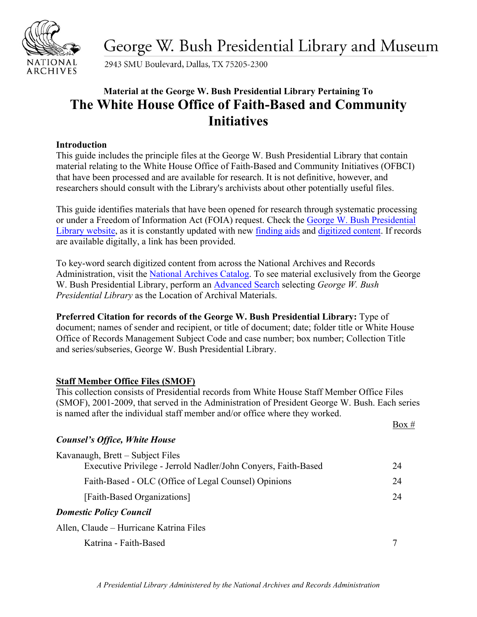

George W. Bush Presidential Library and Museum

2943 SMU Boulevard, Dallas, TX 75205-2300

# **Material at the George W. Bush Presidential Library Pertaining To The White House Office of Faith-Based and Community Initiatives**

# **Introduction**

This guide includes the principle files at the George W. Bush Presidential Library that contain material relating to the White House Office of Faith-Based and Community Initiatives (OFBCI) that have been processed and are available for research. It is not definitive, however, and researchers should consult with the Library's archivists about other potentially useful files.

This guide identifies materials that have been opened for research through systematic processing or under a Freedom of Information Act (FOIA) request. Check the [George W. Bush Presidential](https://www.georgewbushlibrary.gov/)  [Library website,](https://www.georgewbushlibrary.gov/) as it is constantly updated with new [finding aids](https://www.georgewbushlibrary.gov/research/finding-aids) an[d digitized](https://www.georgewbushlibrary.gov/research/records-search) content. If records are available digitally, a link has been provided.

To key-word search digitized content from across the National Archives and Records Administration, visit the [National Archives Catalog.](https://catalog.archives.gov/) To see material exclusively from the George W. Bush Presidential Library, perform an [Advanced Search](https://catalog.archives.gov/advancedsearch) selecting *George W. Bush Presidential Library* as the Location of Archival Materials.

**Preferred Citation for records of the George W. Bush Presidential Library:** Type of document; names of sender and recipient, or title of document; date; folder title or White House Office of Records Management Subject Code and case number; box number; Collection Title and series/subseries, George W. Bush Presidential Library.

# **Staff Member Office Files (SMOF)**

This collection consists of Presidential records from White House Staff Member Office Files (SMOF), 2001-2009, that served in the Administration of President George W. Bush. Each series is named after the individual staff member and/or office where they worked.

|                                                                                                    | Box # |
|----------------------------------------------------------------------------------------------------|-------|
| <b>Counsel's Office, White House</b>                                                               |       |
| Kavanaugh, Brett – Subject Files<br>Executive Privilege - Jerrold Nadler/John Conyers, Faith-Based | 24    |
| Faith-Based - OLC (Office of Legal Counsel) Opinions                                               | 24    |
| [Faith-Based Organizations]                                                                        | 24    |
| <b>Domestic Policy Council</b>                                                                     |       |
| Allen, Claude – Hurricane Katrina Files                                                            |       |
| Katrina - Faith-Based                                                                              |       |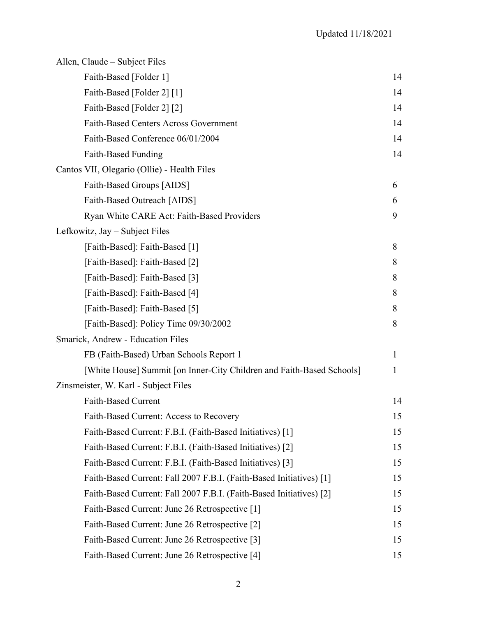| Allen, Claude – Subject Files                                         |    |
|-----------------------------------------------------------------------|----|
| Faith-Based [Folder 1]                                                | 14 |
| Faith-Based [Folder 2] [1]                                            | 14 |
| Faith-Based [Folder 2] [2]                                            | 14 |
| <b>Faith-Based Centers Across Government</b>                          | 14 |
| Faith-Based Conference 06/01/2004                                     | 14 |
| Faith-Based Funding                                                   | 14 |
| Cantos VII, Olegario (Ollie) - Health Files                           |    |
| Faith-Based Groups [AIDS]                                             | 6  |
| Faith-Based Outreach [AIDS]                                           | 6  |
| Ryan White CARE Act: Faith-Based Providers                            | 9  |
| Lefkowitz, Jay – Subject Files                                        |    |
| [Faith-Based]: Faith-Based [1]                                        | 8  |
| [Faith-Based]: Faith-Based [2]                                        | 8  |
| [Faith-Based]: Faith-Based [3]                                        | 8  |
| [Faith-Based]: Faith-Based [4]                                        | 8  |
| [Faith-Based]: Faith-Based [5]                                        | 8  |
| [Faith-Based]: Policy Time 09/30/2002                                 | 8  |
| Smarick, Andrew - Education Files                                     |    |
| FB (Faith-Based) Urban Schools Report 1                               | 1  |
| [White House] Summit [on Inner-City Children and Faith-Based Schools] | 1  |
| Zinsmeister, W. Karl - Subject Files                                  |    |
| <b>Faith-Based Current</b>                                            | 14 |
| Faith-Based Current: Access to Recovery                               | 15 |
| Faith-Based Current: F.B.I. (Faith-Based Initiatives) [1]             | 15 |
| Faith-Based Current: F.B.I. (Faith-Based Initiatives) [2]             | 15 |
| Faith-Based Current: F.B.I. (Faith-Based Initiatives) [3]             | 15 |
| Faith-Based Current: Fall 2007 F.B.I. (Faith-Based Initiatives) [1]   | 15 |
| Faith-Based Current: Fall 2007 F.B.I. (Faith-Based Initiatives) [2]   | 15 |
| Faith-Based Current: June 26 Retrospective [1]                        | 15 |
| Faith-Based Current: June 26 Retrospective [2]                        | 15 |
| Faith-Based Current: June 26 Retrospective [3]                        | 15 |
| Faith-Based Current: June 26 Retrospective [4]                        | 15 |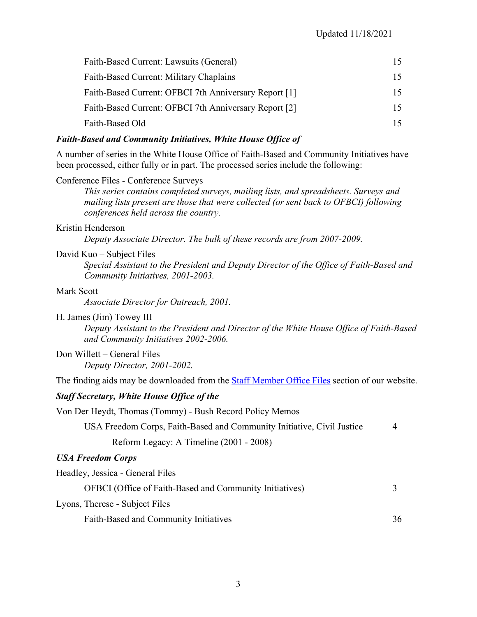| Faith-Based Current: Lawsuits (General)               |     |
|-------------------------------------------------------|-----|
| Faith-Based Current: Military Chaplains               |     |
| Faith-Based Current: OFBCI 7th Anniversary Report [1] | 15. |
| Faith-Based Current: OFBCI 7th Anniversary Report [2] | 15. |
| Faith-Based Old                                       |     |

#### *Faith-Based and Community Initiatives, White House Office of*

A number of series in the White House Office of Faith-Based and Community Initiatives have been processed, either fully or in part. The processed series include the following:

#### Conference Files - Conference Surveys

*This series contains completed surveys, mailing lists, and spreadsheets. Surveys and mailing lists present are those that were collected (or sent back to OFBCI) following conferences held across the country.*

#### Kristin Henderson

*Deputy Associate Director. The bulk of these records are from 2007-2009.*

#### David Kuo – Subject Files

*Special Assistant to the President and Deputy Director of the Office of Faith-Based and Community Initiatives, 2001-2003.* 

#### Mark Scott

*Associate Director for Outreach, 2001.*

#### H. James (Jim) Towey III

*Deputy Assistant to the President and Director of the White House Office of Faith-Based and Community Initiatives 2002-2006.* 

# Don Willett – General Files

*Deputy Director, 2001-2002.* 

The finding aids may be downloaded from the [Staff Member Office](https://www.georgewbushlibrary.gov/research/finding-aids/white-house-staff-member-office-files) [Files](https://georgewbushlibrary.smu.edu/Research/Finding-Aids/White-House-Staff) section of our website.

#### *Staff Secretary, White House Office of the*

Von Der Heydt, Thomas (Tommy) - Bush Record Policy Memos

USA Freedom Corps, Faith-Based and Community Initiative, Civil Justice 4

Reform Legacy: A Timeline (2001 - 2008)

#### *USA Freedom Corps*

Headley, Jessica - General Files

| OFBCI (Office of Faith-Based and Community Initiatives) |    |
|---------------------------------------------------------|----|
| Lyons, Therese - Subject Files                          |    |
| Faith-Based and Community Initiatives                   | 36 |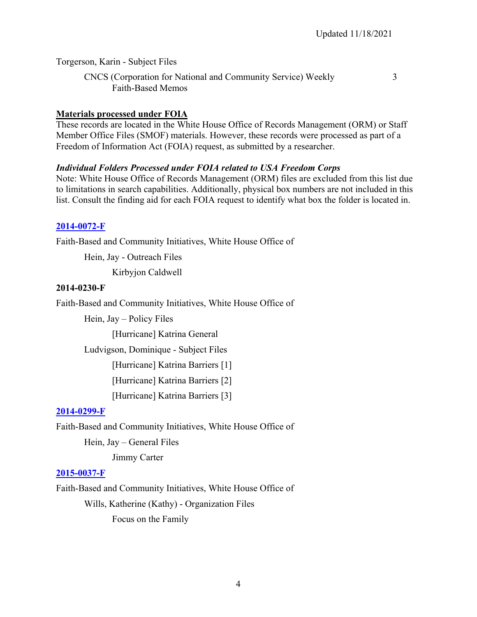Torgerson, Karin - Subject Files

CNCS (Corporation for National and Community Service) Weekly 3 Faith-Based Memos

#### **Materials processed under FOIA**

These records are located in the White House Office of Records Management (ORM) or Staff Member Office Files (SMOF) materials. However, these records were processed as part of a Freedom of Information Act (FOIA) request, as submitted by a researcher.

#### *Individual Folders Processed under FOIA related to USA Freedom Corps*

Note: White House Office of Records Management (ORM) files are excluded from this list due to limitations in search capabilities. Additionally, physical box numbers are not included in this list. Consult the finding aid for each FOIA request to identify what box the folder is located in.

# **[2014-0072-F](https://www.georgewbushlibrary.gov/research/finding-aids/foia-requests/2014-0072-f-correspondence-between-president-bush-and-his-pastors-and-spiritual-advisors)**

Faith-Based and Community Initiatives, White House Office of

Hein, Jay - Outreach Files

Kirbyjon Caldwell

#### **2014-0230-F**

Faith-Based and Community Initiatives, White House Office of

Hein, Jay – Policy Files

[Hurricane] Katrina General

Ludvigson, Dominique - Subject Files

[Hurricane] Katrina Barriers [1]

[Hurricane] Katrina Barriers [2]

[Hurricane] Katrina Barriers [3]

# **[2014-0299-F](https://www.georgewbushlibrary.gov/research/finding-aids/foia-requests/2014-0299-f-correspondence-president-jimmy-carter-or-rosalynn-carter-and-george-w-bush-well-speeches)**

Faith-Based and Community Initiatives, White House Office of

Hein, Jay – General Files

Jimmy Carter

#### **[2015-0037-F](https://www.georgewbushlibrary.gov/research/finding-aids/foia-requests/2015-0037-f-records-related-james-dobson)**

Faith-Based and Community Initiatives, White House Office of Wills, Katherine (Kathy) - Organization Files Focus on the Family